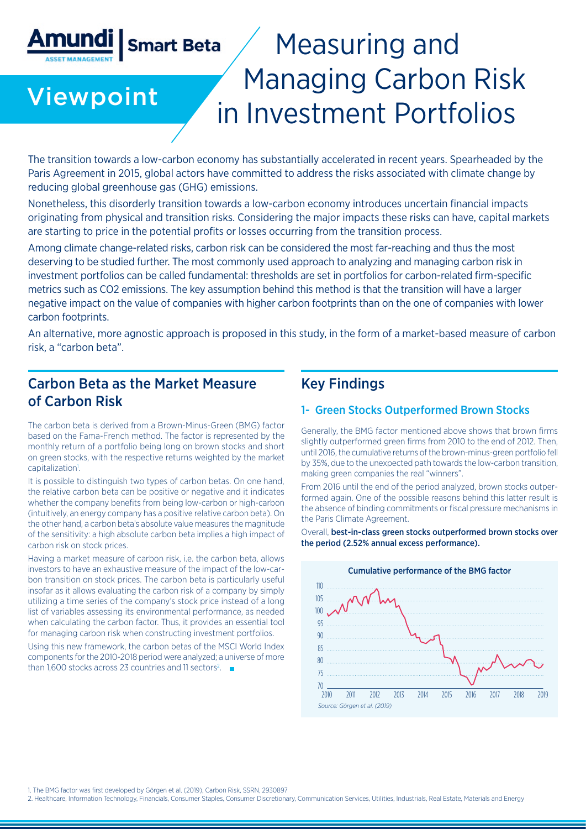# **Smart Beta**  Measuring and Managing Carbon Risk Viewpoint in Investment Portfolios

The transition towards a low-carbon economy has substantially accelerated in recent years. Spearheaded by the Paris Agreement in 2015, global actors have committed to address the risks associated with climate change by reducing global greenhouse gas (GHG) emissions.

Nonetheless, this disorderly transition towards a low-carbon economy introduces uncertain financial impacts originating from physical and transition risks. Considering the major impacts these risks can have, capital markets are starting to price in the potential profits or losses occurring from the transition process.

Among climate change-related risks, carbon risk can be considered the most far-reaching and thus the most deserving to be studied further. The most commonly used approach to analyzing and managing carbon risk in investment portfolios can be called fundamental: thresholds are set in portfolios for carbon-related firm-specific metrics such as CO2 emissions. The key assumption behind this method is that the transition will have a larger negative impact on the value of companies with higher carbon footprints than on the one of companies with lower carbon footprints.

An alternative, more agnostic approach is proposed in this study, in the form of a market-based measure of carbon risk, a "carbon beta".

# Carbon Beta as the Market Measure of Carbon Risk

The carbon beta is derived from a Brown-Minus-Green (BMG) factor based on the Fama-French method. The factor is represented by the monthly return of a portfolio being long on brown stocks and short on green stocks, with the respective returns weighted by the market capitalization<sup>1</sup>.

It is possible to distinguish two types of carbon betas. On one hand, the relative carbon beta can be positive or negative and it indicates whether the company benefits from being low-carbon or high-carbon (intuitively, an energy company has a positive relative carbon beta). On the other hand, a carbon beta's absolute value measures the magnitude of the sensitivity: a high absolute carbon beta implies a high impact of carbon risk on stock prices.

Having a market measure of carbon risk, i.e. the carbon beta, allows investors to have an exhaustive measure of the impact of the low-carbon transition on stock prices. The carbon beta is particularly useful insofar as it allows evaluating the carbon risk of a company by simply utilizing a time series of the company's stock price instead of a long list of variables assessing its environmental performance, as needed when calculating the carbon factor. Thus, it provides an essential tool for managing carbon risk when constructing investment portfolios.

Using this new framework, the carbon betas of the MSCI World Index components for the 2010-2018 period were analyzed; a universe of more than 1,600 stocks across 23 countries and 11 sectors<sup>2</sup>.

# Key Findings

#### 1- Green Stocks Outperformed Brown Stocks

Generally, the BMG factor mentioned above shows that brown firms slightly outperformed green firms from 2010 to the end of 2012. Then, until 2016, the cumulative returns of the brown-minus-green portfolio fell by 35%, due to the unexpected path towards the low-carbon transition, making green companies the real "winners".

From 2016 until the end of the period analyzed, brown stocks outperformed again. One of the possible reasons behind this latter result is the absence of binding commitments or fiscal pressure mechanisms in the Paris Climate Agreement.

Overall, best-in-class green stocks outperformed brown stocks over the period (2.52% annual excess performance).



1. The BMG factor was first developed by Görgen et al. (2019), Carbon Risk, SSRN, 2930897

2. Healthcare, Information Technology, Financials, Consumer Staples, Consumer Discretionary, Communication Services, Utilities, Industrials, Real Estate, Materials and Energy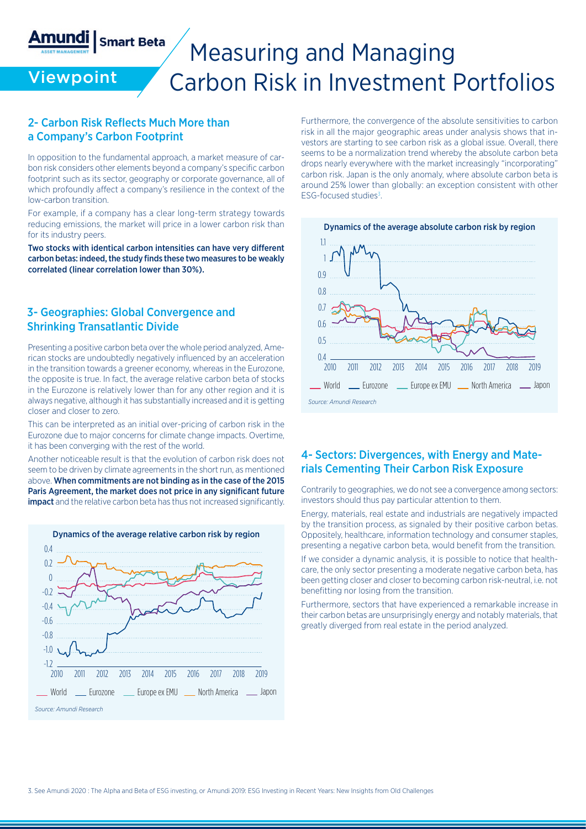# **Smart Beta** Measuring and Managing Carbon Risk in Investment Portfolios

### 2- Carbon Risk Reflects Much More than a Company's Carbon Footprint

**Viewpoint** 

Amundi

In opposition to the fundamental approach, a market measure of carbon risk considers other elements beyond a company's specific carbon footprint such as its sector, geography or corporate governance, all of which profoundly affect a company's resilience in the context of the low-carbon transition.

For example, if a company has a clear long-term strategy towards reducing emissions, the market will price in a lower carbon risk than for its industry peers.

Two stocks with identical carbon intensities can have very different carbon betas: indeed, the study finds these two measures to be weakly correlated (linear correlation lower than 30%).

#### 3- Geographies: Global Convergence and Shrinking Transatlantic Divide

Presenting a positive carbon beta over the whole period analyzed, American stocks are undoubtedly negatively influenced by an acceleration in the transition towards a greener economy, whereas in the Eurozone, the opposite is true. In fact, the average relative carbon beta of stocks in the Eurozone is relatively lower than for any other region and it is always negative, although it has substantially increased and it is getting closer and closer to zero.

This can be interpreted as an initial over-pricing of carbon risk in the Eurozone due to major concerns for climate change impacts. Overtime, it has been converging with the rest of the world.

Another noticeable result is that the evolution of carbon risk does not seem to be driven by climate agreements in the short run, as mentioned above. When commitments are not binding as in the case of the 2015 Paris Agreement, the market does not price in any significant future **impact** and the relative carbon beta has thus not increased significantly.



Furthermore, the convergence of the absolute sensitivities to carbon risk in all the major geographic areas under analysis shows that investors are starting to see carbon risk as a global issue. Overall, there seems to be a normalization trend whereby the absolute carbon beta drops nearly everywhere with the market increasingly "incorporating" carbon risk. Japan is the only anomaly, where absolute carbon beta is around 25% lower than globally: an exception consistent with other ESG-focused studies<sup>3</sup>.



#### 4- Sectors: Divergences, with Energy and Materials Cementing Their Carbon Risk Exposure

Contrarily to geographies, we do not see a convergence among sectors: investors should thus pay particular attention to them.

Energy, materials, real estate and industrials are negatively impacted by the transition process, as signaled by their positive carbon betas. Oppositely, healthcare, information technology and consumer staples, presenting a negative carbon beta, would benefit from the transition.

If we consider a dynamic analysis, it is possible to notice that healthcare, the only sector presenting a moderate negative carbon beta, has been getting closer and closer to becoming carbon risk-neutral, i.e. not benefitting nor losing from the transition.

Furthermore, sectors that have experienced a remarkable increase in their carbon betas are unsurprisingly energy and notably materials, that greatly diverged from real estate in the period analyzed.